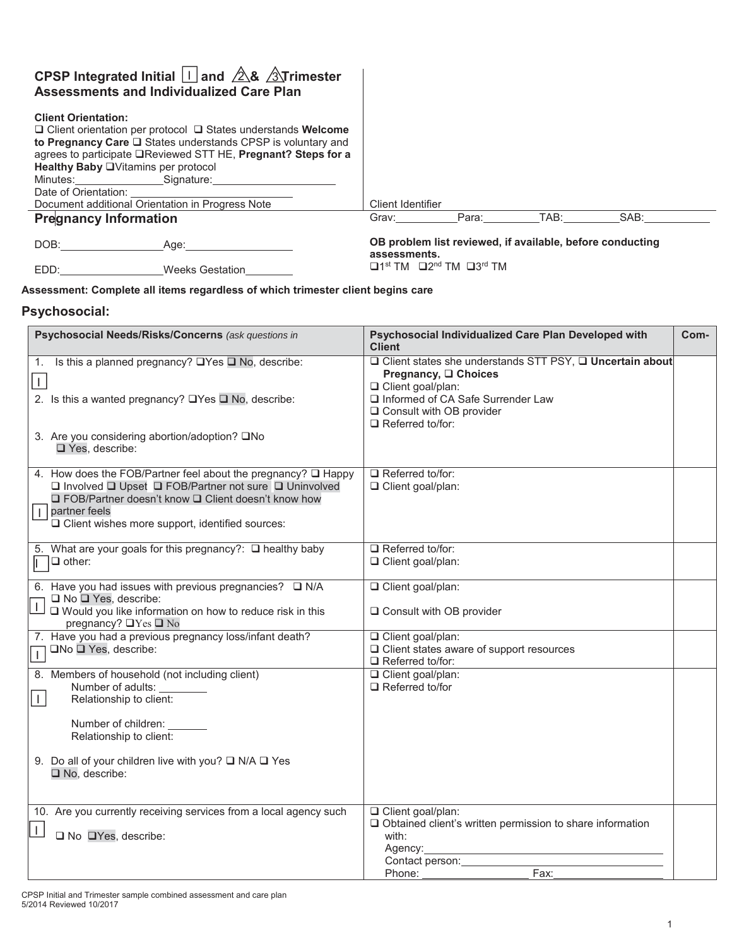## **CPSP Integrated Initial**  $\Box$  **and**  $\Diamond$  **&**  $\Diamond$  **Trimester Assessments and Individualized Care Plan**

#### **Client Orientation:**

| Client Orientation:<br>Healthy Baby OVitamins per protocol<br>Minutes: Signature: Signature:<br>Date of Orientation: Date of Orientation: | $\Box$ Client orientation per protocol $\Box$ States understands Welcome<br>to Pregnancy Care $\square$ States understands CPSP is voluntary and<br>agrees to participate <b>Example 25 State Strips and Strips for a</b> |                                                                           |       |      |      |  |
|-------------------------------------------------------------------------------------------------------------------------------------------|---------------------------------------------------------------------------------------------------------------------------------------------------------------------------------------------------------------------------|---------------------------------------------------------------------------|-------|------|------|--|
| Document additional Orientation in Progress Note                                                                                          |                                                                                                                                                                                                                           | Client Identifier                                                         |       |      |      |  |
| <b>Pregnancy Information</b>                                                                                                              |                                                                                                                                                                                                                           | Grav:                                                                     | Para: | TAB: | SAB: |  |
| DOB:                                                                                                                                      | Aae:                                                                                                                                                                                                                      | OB problem list reviewed, if available, before conducting<br>assessments. |       |      |      |  |
| EDD:                                                                                                                                      | Weeks Gestation                                                                                                                                                                                                           | $\Box$ 1st TM $\Box$ 2 <sup>nd</sup> TM $\Box$ 3 <sup>rd</sup> TM         |       |      |      |  |

#### **Assessment: Complete all items regardless of which trimester client begins care**

## **Psychosocial:**

| Psychosocial Needs/Risks/Concerns (ask questions in                                                                                                                                                                                                                          | Psychosocial Individualized Care Plan Developed with<br><b>Client</b>                                                                                                                                 | Com- |
|------------------------------------------------------------------------------------------------------------------------------------------------------------------------------------------------------------------------------------------------------------------------------|-------------------------------------------------------------------------------------------------------------------------------------------------------------------------------------------------------|------|
| Is this a planned pregnancy? $\Box$ Yes $\Box$ No, describe:<br>1.<br>$\vert$ $\vert$<br>2. Is this a wanted pregnancy? $\Box$ Yes $\Box$ No, describe:<br>3. Are you considering abortion/adoption? □No<br>$\Box$ Yes, describe:                                            | □ Client states she understands STT PSY, □ Uncertain about<br>Pregnancy, □ Choices<br>Client goal/plan:<br>Informed of CA Safe Surrender Law<br>□ Consult with OB provider<br>$\Box$ Referred to/for: |      |
| 4. How does the FOB/Partner feel about the pregnancy? Q Happy<br>□ Involved □ Upset □ FOB/Partner not sure □ Uninvolved<br>□ FOB/Partner doesn't know □ Client doesn't know how<br>partner feels<br>$\overline{1}$<br>$\Box$ Client wishes more support, identified sources: | $\Box$ Referred to/for:<br>Client goal/plan:                                                                                                                                                          |      |
| 5. What are your goals for this pregnancy?: □ healthy baby<br>$\Box$ other:<br>IE.                                                                                                                                                                                           | $\Box$ Referred to/for:<br>□ Client goal/plan:                                                                                                                                                        |      |
| 6. Have you had issues with previous pregnancies? $\square$ N/A<br>$\Box$ No $\Box$ Yes, describe:<br>□ Would you like information on how to reduce risk in this<br>pregnancy? $\Box$ Yes $\Box$ No                                                                          | Client goal/plan:<br>□ Consult with OB provider                                                                                                                                                       |      |
| 7. Have you had a previous pregnancy loss/infant death?<br>□No □ Yes, describe:<br>$\Box$                                                                                                                                                                                    | Client goal/plan:<br>$\Box$ Client states aware of support resources<br>$\Box$ Referred to/for:                                                                                                       |      |
| 8. Members of household (not including client)<br>Number of adults:<br>$\mathbf{I}$<br>Relationship to client:<br>Number of children:<br>Relationship to client:<br>9. Do all of your children live with you? $\Box$ N/A $\Box$ Yes<br>No, describe:                         | Client goal/plan:<br>$\Box$ Referred to/for                                                                                                                                                           |      |
| 10. Are you currently receiving services from a local agency such<br>$\mathbf{L}$<br>$\Box$ No $\Box$ Yes, describe:                                                                                                                                                         | □ Client goal/plan:<br>$\Box$ Obtained client's written permission to share information<br>with:<br>Agency:<br>Contact person:<br><u>Contact</u> person:<br>Fax:<br>Phone:                            |      |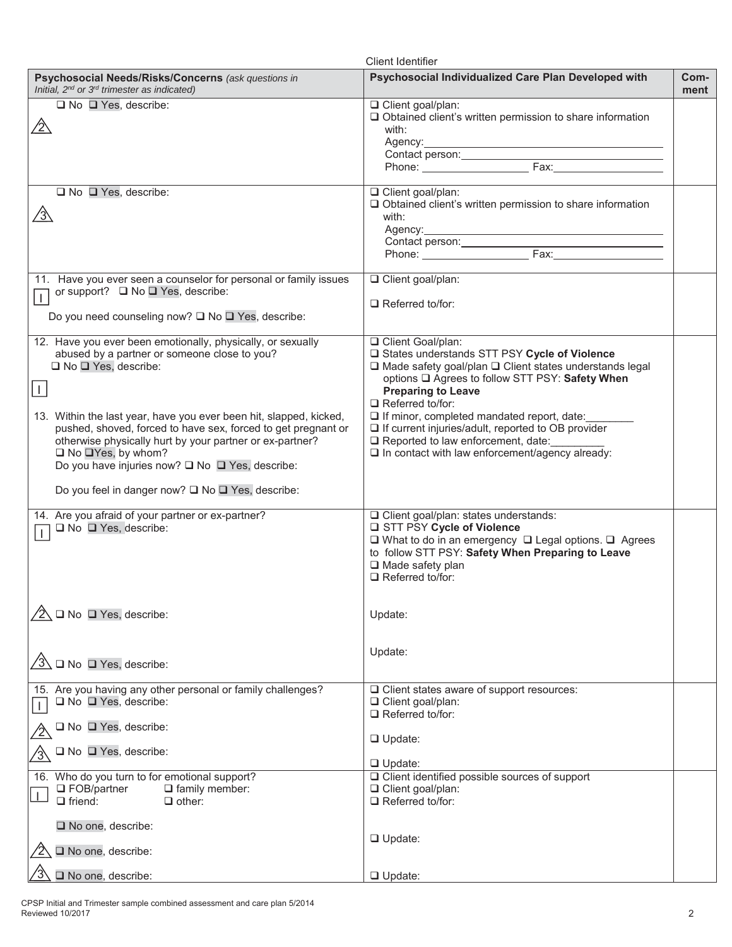| <b>Client Identifier</b>                                                                                                                                                                                                                                                                                                                                                                                                                          |                                                                                                                                                                                                                                                                                                                                                                                                                                                                                 |              |  |
|---------------------------------------------------------------------------------------------------------------------------------------------------------------------------------------------------------------------------------------------------------------------------------------------------------------------------------------------------------------------------------------------------------------------------------------------------|---------------------------------------------------------------------------------------------------------------------------------------------------------------------------------------------------------------------------------------------------------------------------------------------------------------------------------------------------------------------------------------------------------------------------------------------------------------------------------|--------------|--|
| Psychosocial Needs/Risks/Concerns (ask questions in<br>Initial, $2^{nd}$ or $3^{rd}$ trimester as indicated)                                                                                                                                                                                                                                                                                                                                      | Psychosocial Individualized Care Plan Developed with                                                                                                                                                                                                                                                                                                                                                                                                                            | Com-<br>ment |  |
| $\Box$ No $\Box$ Yes, describe:<br><u>/2\</u>                                                                                                                                                                                                                                                                                                                                                                                                     | □ Client goal/plan:<br>□ Obtained client's written permission to share information<br>with:<br>Agency: Agency:<br>Contact person: Fax:                                                                                                                                                                                                                                                                                                                                          |              |  |
| $\Box$ No $\Box$ Yes, describe:<br><u>/3\</u>                                                                                                                                                                                                                                                                                                                                                                                                     | Client goal/plan:<br>Obtained client's written permission to share information<br>with:                                                                                                                                                                                                                                                                                                                                                                                         |              |  |
| 11. Have you ever seen a counselor for personal or family issues<br>or support? □ No □ Yes, describe:<br>$\overline{1}$<br>Do you need counseling now? □ No □ Yes, describe:                                                                                                                                                                                                                                                                      | Client goal/plan:<br>$\Box$ Referred to/for:                                                                                                                                                                                                                                                                                                                                                                                                                                    |              |  |
| 12. Have you ever been emotionally, physically, or sexually<br>abused by a partner or someone close to you?<br>$\Box$ No $\Box$ Yes, describe:<br>$\perp$<br>13. Within the last year, have you ever been hit, slapped, kicked,<br>pushed, shoved, forced to have sex, forced to get pregnant or<br>otherwise physically hurt by your partner or ex-partner?<br>$\Box$ No $\Box$ Yes, by whom?<br>Do you have injuries now? □ No □ Yes, describe: | □ Client Goal/plan:<br>□ States understands STT PSY Cycle of Violence<br>$\square$ Made safety goal/plan $\square$ Client states understands legal<br>options □ Agrees to follow STT PSY: Safety When<br><b>Preparing to Leave</b><br>$\Box$ Referred to/for:<br>If minor, completed mandated report, date:<br>$\Box$ If current injuries/adult, reported to OB provider<br>$\Box$ Reported to law enforcement, date:<br>$\Box$ In contact with law enforcement/agency already: |              |  |
| Do you feel in danger now? □ No □ Yes, describe:<br>14. Are you afraid of your partner or ex-partner?<br>□ No □ Yes, describe:<br>$\vert$ $\vert$                                                                                                                                                                                                                                                                                                 | □ Client goal/plan: states understands:<br>□ STT PSY Cycle of Violence<br>$\square$ What to do in an emergency $\square$ Legal options. $\square$ Agrees<br>to follow STT PSY: Safety When Preparing to Leave<br>$\Box$ Made safety plan<br>$\Box$ Referred to/for:                                                                                                                                                                                                             |              |  |
| $\Box$ No $\Box$ Yes, describe:<br>$/2\wedge$                                                                                                                                                                                                                                                                                                                                                                                                     | Update:                                                                                                                                                                                                                                                                                                                                                                                                                                                                         |              |  |
| $\sqrt{3}$<br>$\Box$ No $\Box$ Yes, describe:                                                                                                                                                                                                                                                                                                                                                                                                     | Update:                                                                                                                                                                                                                                                                                                                                                                                                                                                                         |              |  |
| 15. Are you having any other personal or family challenges?<br>$\Box$ No $\Box$ Yes, describe:<br>$\Box$ No $\Box$ Yes, describe:<br>$\Box$ No $\Box$ Yes, describe:                                                                                                                                                                                                                                                                              | □ Client states aware of support resources:<br>□ Client goal/plan:<br>$\Box$ Referred to/for:<br>$\Box$ Update:                                                                                                                                                                                                                                                                                                                                                                 |              |  |
| 16. Who do you turn to for emotional support?<br>$\Box$ FOB/partner<br>$\Box$ family member:<br>$\Box$ friend:<br>$\Box$ other:<br>No one, describe:                                                                                                                                                                                                                                                                                              | $\Box$ Update:<br>□ Client identified possible sources of support<br>□ Client goal/plan:<br>$\Box$ Referred to/for:                                                                                                                                                                                                                                                                                                                                                             |              |  |
| No one, describe:                                                                                                                                                                                                                                                                                                                                                                                                                                 | $\Box$ Update:                                                                                                                                                                                                                                                                                                                                                                                                                                                                  |              |  |
| No one, describe:                                                                                                                                                                                                                                                                                                                                                                                                                                 | $\Box$ Update:                                                                                                                                                                                                                                                                                                                                                                                                                                                                  |              |  |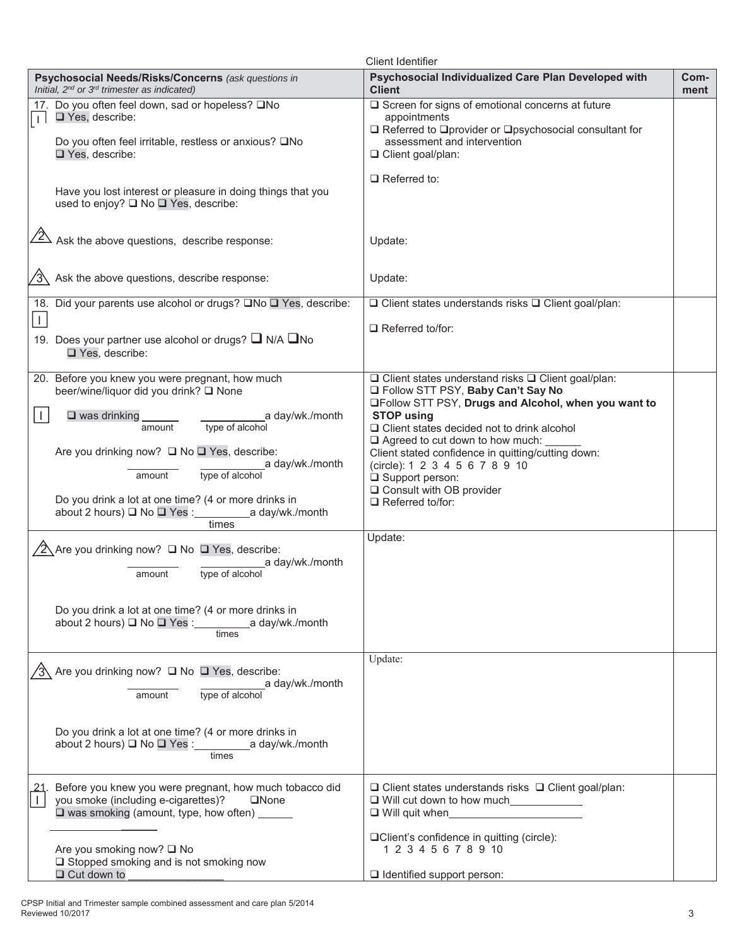| <b>Client Identifier</b> |                                                                                                                                                                               |                                                                                                                                                                                                      |              |
|--------------------------|-------------------------------------------------------------------------------------------------------------------------------------------------------------------------------|------------------------------------------------------------------------------------------------------------------------------------------------------------------------------------------------------|--------------|
|                          | Psychosocial Needs/Risks/Concerns (ask questions in<br>Initial, $2^{nd}$ or $3^{rd}$ trimester as indicated)                                                                  | Psychosocial Individualized Care Plan Developed with<br><b>Client</b>                                                                                                                                | Com-<br>ment |
| 17.<br>$\perp$           | Do you often feel down, sad or hopeless? □No<br>Yes, describe:<br>Do you often feel irritable, restless or anxious? □No<br>Yes, describe:                                     | □ Screen for signs of emotional concerns at future<br>appointments<br>$\Box$ Referred to $\Box$ provider or $\Box$ psychosocial consultant for<br>assessment and intervention<br>□ Client goal/plan: |              |
|                          | Have you lost interest or pleasure in doing things that you<br>used to enjoy? □ No □ Yes, describe:                                                                           | $\Box$ Referred to:                                                                                                                                                                                  |              |
|                          | $\sqrt{2}$ Ask the above questions, describe response:                                                                                                                        | Update:                                                                                                                                                                                              |              |
|                          | Ask the above questions, describe response:                                                                                                                                   | Update:                                                                                                                                                                                              |              |
| $\perp$                  | 18. Did your parents use alcohol or drugs? □No □ Yes, describe:                                                                                                               | $\Box$ Client states understands risks $\Box$ Client goal/plan:                                                                                                                                      |              |
|                          | 19. Does your partner use alcohol or drugs? $\Box$ N/A $\Box$ No<br>□ Yes, describe:                                                                                          | $\Box$ Referred to/for:                                                                                                                                                                              |              |
|                          | 20. Before you knew you were pregnant, how much<br>beer/wine/liquor did you drink? □ None                                                                                     | $\Box$ Client states understand risks $\Box$ Client goal/plan:<br>Follow STT PSY, Baby Can't Say No                                                                                                  |              |
| $\vert \ \vert$          | a day/wk./month<br>$\square$ was drinking<br>type of alcohol<br>amount                                                                                                        | <b>QFollow STT PSY, Drugs and Alcohol, when you want to</b><br><b>STOP using</b><br>□ Client states decided not to drink alcohol                                                                     |              |
|                          | Are you drinking now? □ No □ Yes, describe:<br>a day/wk./month<br>type of alcohol<br>amount                                                                                   | $\Box$ Agreed to cut down to how much:<br>Client stated confidence in quitting/cutting down:<br>(circle): 1 2 3 4 5 6 7 8 9 10<br>$\Box$ Support person:                                             |              |
|                          | Do you drink a lot at one time? (4 or more drinks in<br>about 2 hours) □ No □ Yes : ______________ a day/wk./month<br>times                                                   | □ Consult with OB provider<br>$\Box$ Referred to/for:                                                                                                                                                |              |
|                          | $\sqrt{2}$ Are you drinking now? $\Box$ No $\Box$ Yes, describe:<br>a day/wk./month<br>type of alcohol<br>amount                                                              | Update:                                                                                                                                                                                              |              |
|                          | Do you drink a lot at one time? (4 or more drinks in<br>about 2 hours) □ No □ Yes : _______________ a day/wk./month<br>times                                                  |                                                                                                                                                                                                      |              |
|                          | $\sqrt{3}$ Are you drinking now? $\Box$ No $\Box$ Yes, describe:<br>a day/wk./month<br>type of alcohol<br>amount                                                              | Update:                                                                                                                                                                                              |              |
|                          | Do you drink a lot at one time? (4 or more drinks in<br>about 2 hours) ■ No ■ Yes : ______________ a day/wk./month<br>times                                                   |                                                                                                                                                                                                      |              |
|                          | Before you knew you were pregnant, how much tobacco did<br>you smoke (including e-cigarettes)?<br><b>QNone</b><br>□ was smoking (amount, type, how often) <u>in the state</u> | $\Box$ Client states understands risks $\Box$ Client goal/plan:<br>□ Will cut down to how much                                                                                                       |              |
|                          | Are you smoking now? □ No<br>$\Box$ Stopped smoking and is not smoking now<br>$\Box$ Cut down to                                                                              | □Client's confidence in quitting (circle):<br>1 2 3 4 5 6 7 8 9 10<br>$\Box$ Identified support person:                                                                                              |              |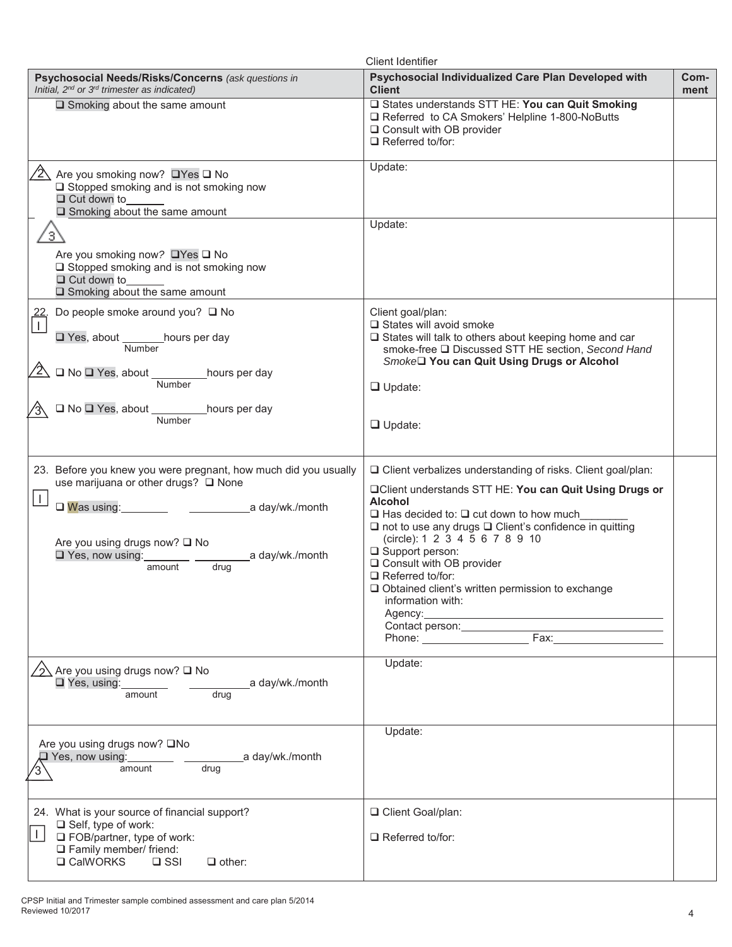|                                                                                                                                                                                                                                                            | <b>Client Identifier</b>                                                                                                                                                                                                                                                                                                                                                                                                                                                                                                             |              |
|------------------------------------------------------------------------------------------------------------------------------------------------------------------------------------------------------------------------------------------------------------|--------------------------------------------------------------------------------------------------------------------------------------------------------------------------------------------------------------------------------------------------------------------------------------------------------------------------------------------------------------------------------------------------------------------------------------------------------------------------------------------------------------------------------------|--------------|
| Psychosocial Needs/Risks/Concerns (ask questions in<br>Initial, 2 <sup>nd</sup> or 3 <sup>rd</sup> trimester as indicated)                                                                                                                                 | Psychosocial Individualized Care Plan Developed with<br><b>Client</b>                                                                                                                                                                                                                                                                                                                                                                                                                                                                | Com-<br>ment |
| $\Box$ Smoking about the same amount                                                                                                                                                                                                                       | □ States understands STT HE: You can Quit Smoking<br>□ Referred to CA Smokers' Helpline 1-800-NoButts<br>□ Consult with OB provider<br>$\Box$ Referred to/for:                                                                                                                                                                                                                                                                                                                                                                       |              |
| Are you smoking now? □ Yes □ No<br>$\Box$ Stopped smoking and is not smoking now<br>$\Box$ Cut down to<br>$\square$ Smoking about the same amount                                                                                                          | Update:                                                                                                                                                                                                                                                                                                                                                                                                                                                                                                                              |              |
| .3,<br>Are you smoking now? □Yes □ No<br>□ Stopped smoking and is not smoking now                                                                                                                                                                          | Update:                                                                                                                                                                                                                                                                                                                                                                                                                                                                                                                              |              |
| $\Box$ Cut down to<br>$\square$ Smoking about the same amount                                                                                                                                                                                              |                                                                                                                                                                                                                                                                                                                                                                                                                                                                                                                                      |              |
| Do people smoke around you? □ No<br>□ Yes, about _______ hours per day<br>Number<br>$\sqrt{2}$ $\Box$ No $\Box$ Yes, about $\frac{1}{\Box}$ hours per day                                                                                                  | Client goal/plan:<br>□ States will avoid smoke<br>□ States will talk to others about keeping home and car<br>smoke-free □ Discussed STT HE section, Second Hand<br>Smoke□ You can Quit Using Drugs or Alcohol<br>$\Box$ Update:                                                                                                                                                                                                                                                                                                      |              |
| □ No □ Yes, about _____________hours per day<br>Number                                                                                                                                                                                                     | $\Box$ Update:                                                                                                                                                                                                                                                                                                                                                                                                                                                                                                                       |              |
| 23. Before you knew you were pregnant, how much did you usually<br>use marijuana or other drugs? □ None<br>$\perp$<br>$\Box$ Was using:<br>a day/wk./month<br>Are you using drugs now? □ No<br>$\Box$ Yes, now using:<br>a day/wk./month<br>drug<br>amount | □ Client verbalizes understanding of risks. Client goal/plan:<br><b>QClient understands STT HE: You can Quit Using Drugs or</b><br><b>Alcohol</b><br>$\Box$ Has decided to: $\Box$ cut down to how much<br>$\square$ not to use any drugs $\square$ Client's confidence in quitting<br>(circle): 1 2 3 4 5 6 7 8 9 10<br>$\Box$ Support person:<br>Q Consult with OB provider<br>$\Box$ Referred to/for:<br>$\Box$ Obtained client's written permission to exchange<br>information with:<br>Agency:<br>Contact person: _____________ |              |
| Are you using drugs now? □ No<br>Yes, using:<br>a day/wk./month<br>amount<br>drug                                                                                                                                                                          | Update:                                                                                                                                                                                                                                                                                                                                                                                                                                                                                                                              |              |
| Are you using drugs now? □No<br>$\Box$ Yes, now using:<br>a day/wk./month<br>amount<br>drug                                                                                                                                                                | Update:                                                                                                                                                                                                                                                                                                                                                                                                                                                                                                                              |              |
| 24. What is your source of financial support?<br>$\Box$ Self, type of work:<br>$\mathbf{I}$<br>$\Box$ FOB/partner, type of work:<br>$\Box$ Family member/ friend:<br><b>□ CalWORKS</b><br>$\Box$ SSI<br>$\Box$ other:                                      | □ Client Goal/plan:<br>$\Box$ Referred to/for:                                                                                                                                                                                                                                                                                                                                                                                                                                                                                       |              |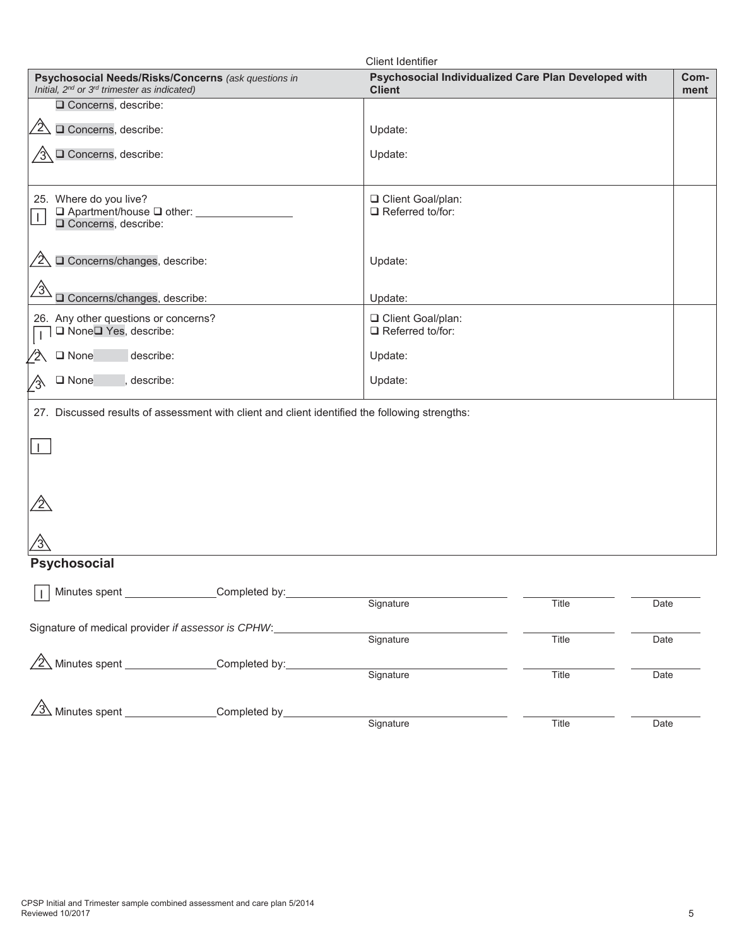|                                                                                                              | <b>Client Identifier</b>                                              |              |
|--------------------------------------------------------------------------------------------------------------|-----------------------------------------------------------------------|--------------|
| Psychosocial Needs/Risks/Concerns (ask questions in<br>Initial, $2^{nd}$ or $3^{rd}$ trimester as indicated) | Psychosocial Individualized Care Plan Developed with<br><b>Client</b> | Com-<br>ment |
| □ Concerns, describe:                                                                                        |                                                                       |              |
| O Concerns, describe:<br>$\sqrt{2}$                                                                          | Update:                                                               |              |
| O Concerns, describe:                                                                                        | Update:                                                               |              |
|                                                                                                              |                                                                       |              |
| 25. Where do you live?                                                                                       | □ Client Goal/plan:                                                   |              |
| $\Box$ Apartment/house $\Box$ other:<br>$\perp$                                                              | $\Box$ Referred to/for:                                               |              |
| □ Concerns, describe:                                                                                        |                                                                       |              |
| O Concerns/changes, describe:                                                                                | Update:                                                               |              |
|                                                                                                              |                                                                       |              |
| $\frac{1}{3}$<br>Q Concerns/changes, describe:                                                               | Update:                                                               |              |
| 26. Any other questions or concerns?                                                                         | □ Client Goal/plan:                                                   |              |
| □ None□ Yes, describe:                                                                                       | $\Box$ Referred to/for:                                               |              |
| describe:<br>□ None<br>$\mathbf 2$                                                                           | Update:                                                               |              |
| $\square$ None<br>describe:<br>⁄3∖                                                                           | Update:                                                               |              |
| 27. Discussed results of assessment with client and client identified the following strengths:               |                                                                       |              |
|                                                                                                              |                                                                       |              |
| J.                                                                                                           |                                                                       |              |
|                                                                                                              |                                                                       |              |
|                                                                                                              |                                                                       |              |
|                                                                                                              |                                                                       |              |
|                                                                                                              |                                                                       |              |
|                                                                                                              |                                                                       |              |
| <b>Psychosocial</b>                                                                                          |                                                                       |              |
| Minutes spent ________________Completed by:_                                                                 |                                                                       |              |
|                                                                                                              | Signature<br>Title<br>Date                                            |              |
| Signature of medical provider if assessor is CPHW:                                                           |                                                                       |              |
|                                                                                                              | Signature<br>Title<br>Date                                            |              |
| $\sqrt{2}$ Minutes spent _______________Completed by: ________                                               |                                                                       |              |
|                                                                                                              | Signature<br>Title<br>Date                                            |              |
| $\sqrt{3}$ Minutes spent _______________Completed by__________                                               |                                                                       |              |
|                                                                                                              | Signature<br>Title<br>Date                                            |              |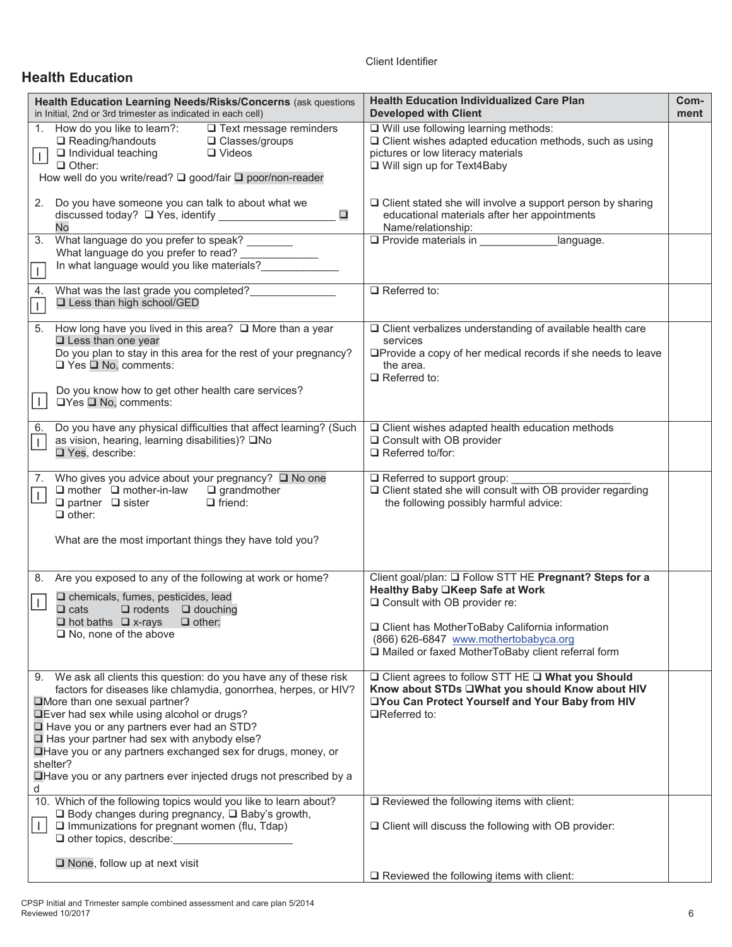## **Health Education**

| Health Education Learning Needs/Risks/Concerns (ask questions<br>in Initial, 2nd or 3rd trimester as indicated in each cell)                                                                                                                                                                                                                                                                                                                                                   | <b>Health Education Individualized Care Plan</b><br><b>Developed with Client</b>                                                                                                                                                                                                 | Com-<br>ment |
|--------------------------------------------------------------------------------------------------------------------------------------------------------------------------------------------------------------------------------------------------------------------------------------------------------------------------------------------------------------------------------------------------------------------------------------------------------------------------------|----------------------------------------------------------------------------------------------------------------------------------------------------------------------------------------------------------------------------------------------------------------------------------|--------------|
| 1. How do you like to learn?:<br>$\Box$ Text message reminders<br>Reading/handouts<br>□ Classes/groups<br>$\Box$ Individual teaching<br>$\Box$ Videos<br>$\vert \vert$<br>$\Box$ Other:<br>How well do you write/read? □ good/fair □ poor/non-reader                                                                                                                                                                                                                           | □ Will use following learning methods:<br>$\Box$ Client wishes adapted education methods, such as using<br>pictures or low literacy materials<br>□ Will sign up for Text4Baby                                                                                                    |              |
| 2. Do you have someone you can talk to about what we<br>$\Box$<br>No                                                                                                                                                                                                                                                                                                                                                                                                           | $\Box$ Client stated she will involve a support person by sharing<br>educational materials after her appointments<br>Name/relationship:                                                                                                                                          |              |
| What language do you prefer to speak? ________<br>3.<br>What language do you prefer to read? _____________<br>In what language would you like materials?<br>$\mathbf{I}$                                                                                                                                                                                                                                                                                                       | ■ Namericialonsmp.<br>□ Provide materials in ____________________language.                                                                                                                                                                                                       |              |
| What was the last grade you completed?<br>4.<br>□ Less than high school/GED<br>$\mathbf{I}$                                                                                                                                                                                                                                                                                                                                                                                    | $\Box$ Referred to:                                                                                                                                                                                                                                                              |              |
| How long have you lived in this area? $\Box$ More than a year<br>5.<br>$\square$ Less than one year<br>Do you plan to stay in this area for the rest of your pregnancy?<br>$\Box$ Yes $\Box$ No, comments:<br>Do you know how to get other health care services?<br>$\mathbf{L}$<br>$\Box$ Yes $\Box$ No, comments:                                                                                                                                                            | □ Client verbalizes understanding of available health care<br>services<br>□Provide a copy of her medical records if she needs to leave<br>the area.<br>$\Box$ Referred to:                                                                                                       |              |
| Do you have any physical difficulties that affect learning? (Such<br>6.<br>as vision, hearing, learning disabilities)? □No<br>$\mathbf{I}$<br>□ Yes, describe:                                                                                                                                                                                                                                                                                                                 | $\Box$ Client wishes adapted health education methods<br>□ Consult with OB provider<br>$\Box$ Referred to/for:                                                                                                                                                                   |              |
| 7. Who gives you advice about your pregnancy? Q No one<br>$\Box$ mother $\Box$ mother-in-law $\Box$ grandmother<br>$\perp$<br>$\Box$ partner $\Box$ sister<br>$\Box$ friend:<br>$\Box$ other:<br>What are the most important things they have told you?                                                                                                                                                                                                                        | Referred to support group:<br>□ Client stated she will consult with OB provider regarding<br>the following possibly harmful advice:                                                                                                                                              |              |
| 8. Are you exposed to any of the following at work or home?<br>$\square$ chemicals, fumes, pesticides, lead<br>$\perp$<br>$\Box$ rodents $\Box$ douching<br>$\Box$ cats<br>$\Box$ hot baths $\Box$ x-rays<br>$\Box$ other:<br>$\Box$ No, none of the above                                                                                                                                                                                                                     | Client goal/plan: Q Follow STT HE Pregnant? Steps for a<br>Healthy Baby □Keep Safe at Work<br>□ Consult with OB provider re:<br>□ Client has MotherToBaby California information<br>(866) 626-6847 www.mothertobabyca.org<br>□ Mailed or faxed MotherToBaby client referral form |              |
| 9. We ask all clients this question: do you have any of these risk<br>factors for diseases like chlamydia, gonorrhea, herpes, or HIV?<br>More than one sexual partner?<br><b>QEver had sex while using alcohol or drugs?</b><br>Have you or any partners ever had an STD?<br>Has your partner had sex with anybody else?<br>Have you or any partners exchanged sex for drugs, money, or<br>shelter?<br>□ Have you or any partners ever injected drugs not prescribed by a<br>d | □ Client agrees to follow STT HE □ What you Should<br>Know about STDs UWhat you should Know about HIV<br>□You Can Protect Yourself and Your Baby from HIV<br>$\Box$ Referred to:                                                                                                 |              |
| 10. Which of the following topics would you like to learn about?<br>$\Box$ Body changes during pregnancy, $\Box$ Baby's growth,<br>$\mathbf{L}$<br>$\Box$ Immunizations for pregnant women (flu, Tdap)<br>$\Box$ other topics, describe: $\Box$                                                                                                                                                                                                                                | $\Box$ Reviewed the following items with client:<br>$\Box$ Client will discuss the following with OB provider:                                                                                                                                                                   |              |
| $\Box$ None, follow up at next visit                                                                                                                                                                                                                                                                                                                                                                                                                                           | $\Box$ Reviewed the following items with client:                                                                                                                                                                                                                                 |              |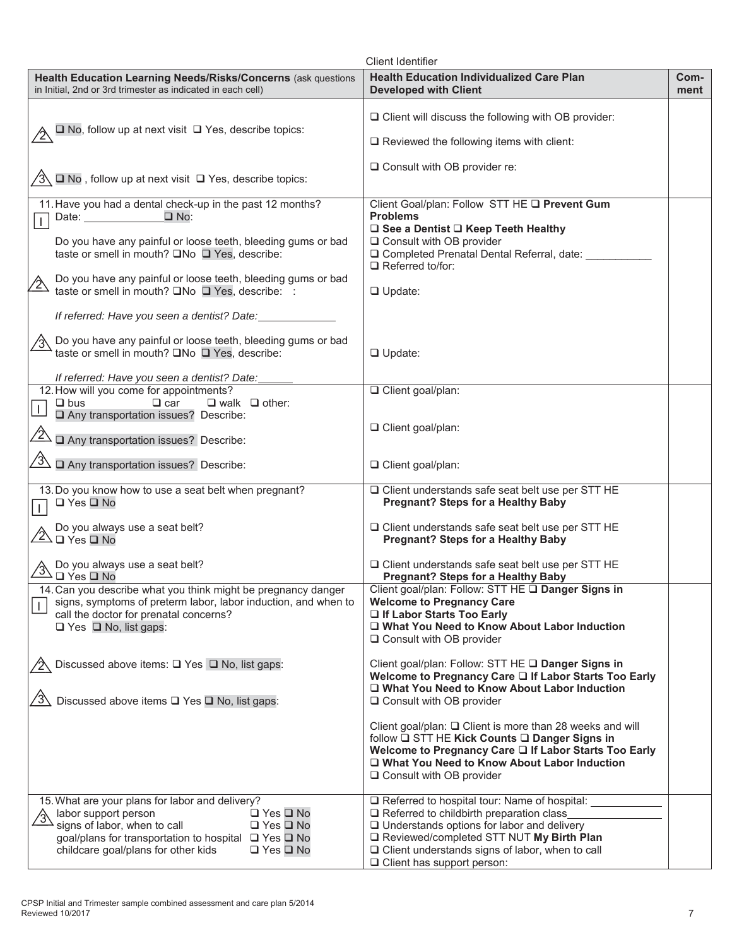|                                                                                                                                                                                                                                                                                                                                | <b>Client Identifier</b>                                                                                                                                                                                                                                                                                                                                                  |              |
|--------------------------------------------------------------------------------------------------------------------------------------------------------------------------------------------------------------------------------------------------------------------------------------------------------------------------------|---------------------------------------------------------------------------------------------------------------------------------------------------------------------------------------------------------------------------------------------------------------------------------------------------------------------------------------------------------------------------|--------------|
| Health Education Learning Needs/Risks/Concerns (ask questions<br>in Initial, 2nd or 3rd trimester as indicated in each cell)                                                                                                                                                                                                   | <b>Health Education Individualized Care Plan</b><br><b>Developed with Client</b>                                                                                                                                                                                                                                                                                          | Com-<br>ment |
| $\square$ No, follow up at next visit $\square$ Yes, describe topics:                                                                                                                                                                                                                                                          | $\Box$ Client will discuss the following with OB provider:<br>$\Box$ Reviewed the following items with client:                                                                                                                                                                                                                                                            |              |
| $\Box$ No, follow up at next visit $\Box$ Yes, describe topics:                                                                                                                                                                                                                                                                | $\Box$ Consult with OB provider re:                                                                                                                                                                                                                                                                                                                                       |              |
| 11. Have you had a dental check-up in the past 12 months?<br>$\square$ No:<br>Do you have any painful or loose teeth, bleeding gums or bad<br>taste or smell in mouth? □No □ Yes, describe:<br>Do you have any painful or loose teeth, bleeding gums or bad<br>$\mathbf{2}$<br>taste or smell in mouth? □No □ Yes, describe: : | Client Goal/plan: Follow STT HE Q Prevent Gum<br><b>Problems</b><br>□ See a Dentist □ Keep Teeth Healthy<br>□ Consult with OB provider<br>□ Completed Prenatal Dental Referral, date: _<br>$\Box$ Referred to/for:<br>$\Box$ Update:                                                                                                                                      |              |
| If referred: Have you seen a dentist? Date:<br>√3 Do you have any painful or loose teeth, bleeding gums or bad<br>taste or smell in mouth? □No □ Yes, describe:<br>If referred: Have you seen a dentist? Date:                                                                                                                 | $\Box$ Update:                                                                                                                                                                                                                                                                                                                                                            |              |
| 12. How will you come for appointments?<br>$\Box$ car<br>$\Box$ walk $\Box$ other:<br>$\Box$ bus<br>$\overline{1}$<br>Any transportation issues? Describe:<br>$\overline{\mathbb{Z}}$<br>Any transportation issues? Describe:<br>$\sqrt{3}$ $\Box$ Any transportation issues? Describe:                                        | Client goal/plan:<br>□ Client goal/plan:<br>□ Client goal/plan:                                                                                                                                                                                                                                                                                                           |              |
| 13. Do you know how to use a seat belt when pregnant?<br>$\Box$ Yes $\Box$ No<br>Do you always use a seat belt?<br>$2\sqrt{2}$ $\Box$ Yes $\Box$ No<br>Do you always use a seat belt?<br>$\Box$ Yes $\Box$ No                                                                                                                  | □ Client understands safe seat belt use per STT HE<br><b>Pregnant? Steps for a Healthy Baby</b><br>$\Box$ Client understands safe seat belt use per STT HE<br><b>Pregnant? Steps for a Healthy Baby</b><br>□ Client understands safe seat belt use per STT HE<br><b>Pregnant? Steps for a Healthy Baby</b>                                                                |              |
| 14. Can you describe what you think might be pregnancy danger<br>signs, symptoms of preterm labor, labor induction, and when to<br>call the doctor for prenatal concerns?<br>$\Box$ Yes $\Box$ No, list gaps:                                                                                                                  | Client goal/plan: Follow: STT HE Q Danger Signs in<br><b>Welcome to Pregnancy Care</b><br>If Labor Starts Too Early<br>□ What You Need to Know About Labor Induction<br>$\Box$ Consult with OB provider                                                                                                                                                                   |              |
| Discussed above items: □ Yes □ No, list gaps:<br>Discussed above items □ Yes □ No, list gaps:                                                                                                                                                                                                                                  | Client goal/plan: Follow: STT HE Q Danger Signs in<br>Welcome to Pregnancy Care □ If Labor Starts Too Early<br>□ What You Need to Know About Labor Induction<br>□ Consult with OB provider<br>Client goal/plan: □ Client is more than 28 weeks and will<br>follow □ STT HE Kick Counts □ Danger Signs in<br>Welcome to Pregnancy Care Q If Labor Starts Too Early         |              |
| 15. What are your plans for labor and delivery?<br>$\Box$ Yes $\Box$ No<br>labor support person<br>signs of labor, when to call<br>$\Box$ Yes $\Box$ No<br>goal/plans for transportation to hospital □ Yes □ No<br>childcare goal/plans for other kids<br>$\Box$ Yes $\Box$ No                                                 | □ What You Need to Know About Labor Induction<br>□ Consult with OB provider<br>□ Referred to hospital tour: Name of hospital:<br>Referred to childbirth preparation class<br>$\Box$ Understands options for labor and delivery<br>Reviewed/completed STT NUT My Birth Plan<br>$\Box$ Client understands signs of labor, when to call<br>$\Box$ Client has support person: |              |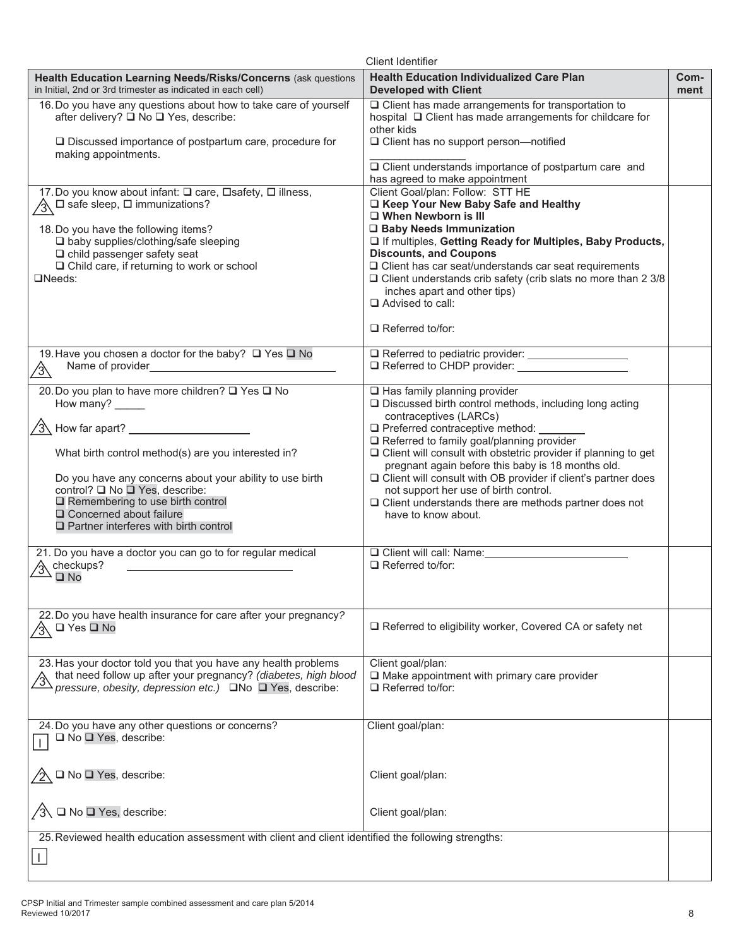|                                                                                                                                                                                                                            | <b>Client Identifier</b>                                                                                                                                                                        |              |
|----------------------------------------------------------------------------------------------------------------------------------------------------------------------------------------------------------------------------|-------------------------------------------------------------------------------------------------------------------------------------------------------------------------------------------------|--------------|
| Health Education Learning Needs/Risks/Concerns (ask questions<br>in Initial, 2nd or 3rd trimester as indicated in each cell)                                                                                               | <b>Health Education Individualized Care Plan</b><br><b>Developed with Client</b>                                                                                                                | Com-<br>ment |
| 16. Do you have any questions about how to take care of yourself<br>after delivery? □ No □ Yes, describe:<br>$\Box$ Discussed importance of postpartum care, procedure for                                                 | $\Box$ Client has made arrangements for transportation to<br>hospital Q Client has made arrangements for childcare for<br>other kids<br>□ Client has no support person-notified                 |              |
| making appointments.                                                                                                                                                                                                       | $\Box$ Client understands importance of postpartum care and                                                                                                                                     |              |
| 17. Do you know about infant: □ care, □ safety, □ illness,                                                                                                                                                                 | has agreed to make appointment<br>Client Goal/plan: Follow: STT HE                                                                                                                              |              |
| $\sqrt{3}$ $\Box$ safe sleep, $\Box$ immunizations?                                                                                                                                                                        | □ Keep Your New Baby Safe and Healthy<br>□ When Newborn is III                                                                                                                                  |              |
| 18. Do you have the following items?<br>□ baby supplies/clothing/safe sleeping<br>$\Box$ child passenger safety seat                                                                                                       | □ Baby Needs Immunization<br>□ If multiples, Getting Ready for Multiples, Baby Products,<br><b>Discounts, and Coupons</b>                                                                       |              |
| $\Box$ Child care, if returning to work or school<br>$DNeeds$ :                                                                                                                                                            | $\Box$ Client has car seat/understands car seat requirements<br>$\Box$ Client understands crib safety (crib slats no more than 2 3/8<br>inches apart and other tips)<br>$\Box$ Advised to call: |              |
|                                                                                                                                                                                                                            | $\Box$ Referred to/for:                                                                                                                                                                         |              |
| 19. Have you chosen a doctor for the baby? □ Yes □ No<br>Name of provider_<br>∕3∖                                                                                                                                          | Referred to pediatric provider: ___________________                                                                                                                                             |              |
| 20. Do you plan to have more children? □ Yes □ No<br>How many? _____                                                                                                                                                       | $\Box$ Has family planning provider<br>□ Discussed birth control methods, including long acting                                                                                                 |              |
| $\sqrt{3}$ How far apart? _____________________                                                                                                                                                                            | contraceptives (LARCs)<br>□ Preferred contraceptive method:<br>Referred to family goal/planning provider                                                                                        |              |
| What birth control method(s) are you interested in?                                                                                                                                                                        | $\Box$ Client will consult with obstetric provider if planning to get<br>pregnant again before this baby is 18 months old.                                                                      |              |
| Do you have any concerns about your ability to use birth<br>control? □ No □ Yes, describe:<br>$\Box$ Remembering to use birth control<br>$\Box$ Concerned about failure<br>$\square$ Partner interferes with birth control | □ Client will consult with OB provider if client's partner does<br>not support her use of birth control.<br>$\Box$ Client understands there are methods partner does not<br>have to know about. |              |
| 21. Do you have a doctor you can go to for regular medical<br>heckups?<br>$\square$ No                                                                                                                                     | O Client will call: Name:<br>$\Box$ Referred to/for:                                                                                                                                            |              |
| 22. Do you have health insurance for care after your pregnancy?                                                                                                                                                            |                                                                                                                                                                                                 |              |
| $\sqrt{3}$ $\Box$ Yes $\Box$ No                                                                                                                                                                                            | □ Referred to eligibility worker, Covered CA or safety net                                                                                                                                      |              |
| 23. Has your doctor told you that you have any health problems<br>that need follow up after your pregnancy? (diabetes, high blood pressure, obesity, depression etc.)<br>□ No □ Yes, describe:                             | Client goal/plan:<br>$\Box$ Make appointment with primary care provider<br>$\Box$ Referred to/for:                                                                                              |              |
| 24. Do you have any other questions or concerns?<br>$\Box$ No $\Box$ Yes, describe:                                                                                                                                        | Client goal/plan:                                                                                                                                                                               |              |
| $\square$ No $\square$ Yes, describe:                                                                                                                                                                                      | Client goal/plan:                                                                                                                                                                               |              |
| $\sqrt{3}$ □ No □ Yes, describe:                                                                                                                                                                                           | Client goal/plan:                                                                                                                                                                               |              |
| 25. Reviewed health education assessment with client and client identified the following strengths:                                                                                                                        |                                                                                                                                                                                                 |              |
| $\mathbf{I}$                                                                                                                                                                                                               |                                                                                                                                                                                                 |              |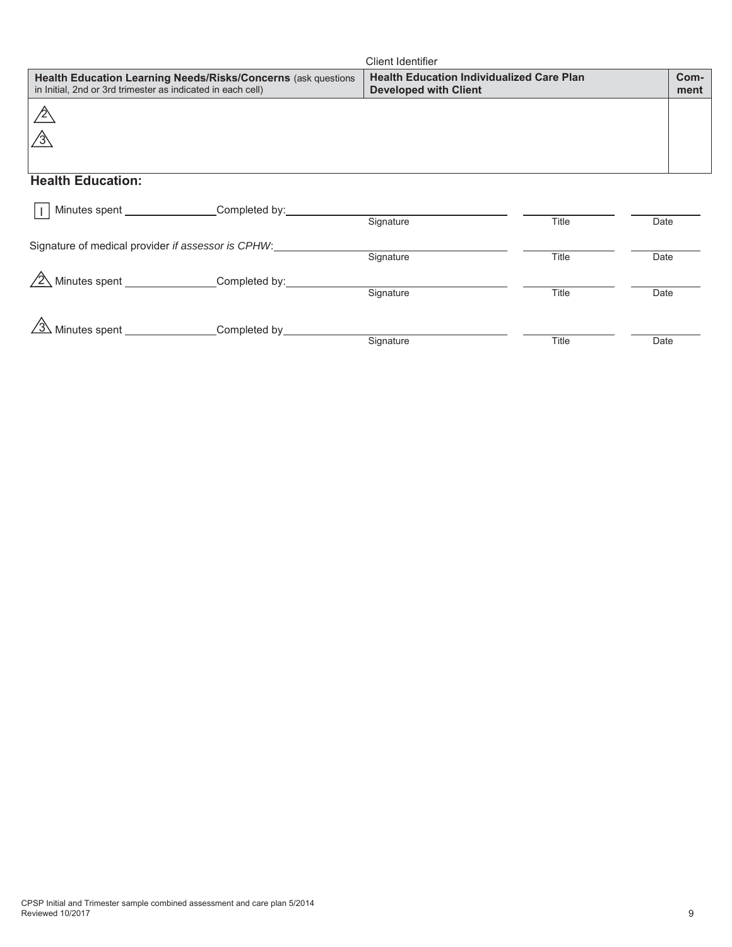|                                                             |                                                               | Client Identifier                                                                |              |      |              |
|-------------------------------------------------------------|---------------------------------------------------------------|----------------------------------------------------------------------------------|--------------|------|--------------|
| in Initial, 2nd or 3rd trimester as indicated in each cell) | Health Education Learning Needs/Risks/Concerns (ask questions | <b>Health Education Individualized Care Plan</b><br><b>Developed with Client</b> |              |      | Com-<br>ment |
|                                                             |                                                               |                                                                                  |              |      |              |
|                                                             |                                                               |                                                                                  |              |      |              |
| <b>Health Education:</b>                                    |                                                               |                                                                                  |              |      |              |
|                                                             |                                                               |                                                                                  |              |      |              |
|                                                             | Minutes spent ________________Completed by:___________        | Signature                                                                        | <b>Title</b> | Date |              |
| Signature of medical provider if assessor is CPHW:          |                                                               |                                                                                  |              |      |              |
|                                                             |                                                               | Signature                                                                        | Title        | Date |              |
|                                                             | $\sqrt{2}$ Minutes spent ________________Completed by:        |                                                                                  |              |      |              |
|                                                             |                                                               | Signature                                                                        | Title        | Date |              |
|                                                             |                                                               |                                                                                  |              |      |              |
| Minutes spent                                               | Completed by                                                  |                                                                                  |              |      |              |
|                                                             |                                                               | Signature                                                                        | Title        | Date |              |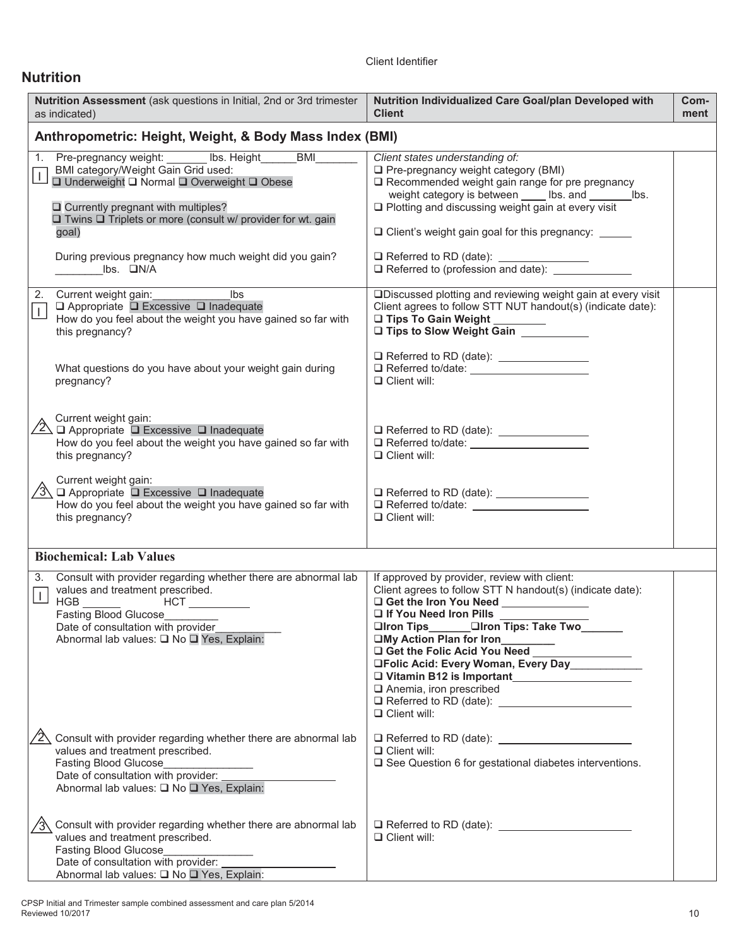# **Nutrition**

| Nutrition Assessment (ask questions in Initial, 2nd or 3rd trimester<br>as indicated)                                                                                                                                                                             | Nutrition Individualized Care Goal/plan Developed with<br><b>Client</b>                                                                                                                                                                                                                                                                                                                                                                 | Com-<br>ment |
|-------------------------------------------------------------------------------------------------------------------------------------------------------------------------------------------------------------------------------------------------------------------|-----------------------------------------------------------------------------------------------------------------------------------------------------------------------------------------------------------------------------------------------------------------------------------------------------------------------------------------------------------------------------------------------------------------------------------------|--------------|
| Anthropometric: Height, Weight, & Body Mass Index (BMI)                                                                                                                                                                                                           |                                                                                                                                                                                                                                                                                                                                                                                                                                         |              |
| Pre-pregnancy weight: Ibs. Height BMI<br>1.<br>BMI category/Weight Gain Grid used:<br>□ Underweight □ Normal □ Overweight □ Obese<br>$\Box$ Currently pregnant with multiples?<br>$\Box$ Twins $\Box$ Triplets or more (consult w/ provider for wt. gain<br>goal) | Client states understanding of:<br>$\Box$ Pre-pregnancy weight category (BMI)<br>$\square$ Recommended weight gain range for pre pregnancy<br>weight category is between _____ lbs. and ________ lbs.<br>$\Box$ Plotting and discussing weight gain at every visit<br>□ Client's weight gain goal for this pregnancy: _____                                                                                                             |              |
| During previous pregnancy how much weight did you gain?<br>$\mathsf{libs.}\square\mathsf{N/A}$                                                                                                                                                                    | □ Referred to RD (date): __________________<br>Referred to (profession and date): ________                                                                                                                                                                                                                                                                                                                                              |              |
| <u>same</u> and the libs<br>Current weight gain:<br>2.<br>$\Box$ Appropriate $\Box$ Excessive $\Box$ Inadequate<br>$\perp$<br>How do you feel about the weight you have gained so far with<br>this pregnancy?                                                     | □Discussed plotting and reviewing weight gain at every visit<br>Client agrees to follow STT NUT handout(s) (indicate date):<br>□ Tips To Gain Weight<br>□ Tips to Slow Weight Gain                                                                                                                                                                                                                                                      |              |
| What questions do you have about your weight gain during<br>pregnancy?                                                                                                                                                                                            | $\Box$ Client will:                                                                                                                                                                                                                                                                                                                                                                                                                     |              |
| Current weight gain:<br>$\overline{2}$ $\overline{1}$ Appropriate $\overline{1}$ Excessive $\overline{1}$ Inadequate<br>How do you feel about the weight you have gained so far with<br>this pregnancy?                                                           | Referred to/date:<br>$\Box$ Client will:                                                                                                                                                                                                                                                                                                                                                                                                |              |
| Current weight gain:<br>$\sqrt{3}$ $\Box$ Appropriate $\Box$ Excessive $\Box$ Inadequate<br>How do you feel about the weight you have gained so far with<br>this pregnancy?                                                                                       | $\Box$ Client will:                                                                                                                                                                                                                                                                                                                                                                                                                     |              |
| <b>Biochemical: Lab Values</b>                                                                                                                                                                                                                                    |                                                                                                                                                                                                                                                                                                                                                                                                                                         |              |
| Consult with provider regarding whether there are abnormal lab<br>3.<br>values and treatment prescribed.<br>Fasting Blood Glucose<br>Date of consultation with provider<br>Abnormal lab values: □ No □ Yes, Explain:                                              | If approved by provider, review with client:<br>Client agrees to follow STT N handout(s) (indicate date):<br>If You Need Iron Pills<br>□Iron Tips________ □Iron Tips: Take Two_______<br>□My Action Plan for Iron<br>□My Action Pian for Iron<br>□ Get the Folic Acid You Need _______________<br>□Folic Acid: Every Woman, Every Day __________<br>U Vitamin B12 is Important<br>$\Box$ Anemia, iron prescribed<br>$\Box$ Client will: |              |
| $\sqrt{2}$ Consult with provider regarding whether there are abnormal lab<br>values and treatment prescribed.<br>Fasting Blood Glucose<br>Date of consultation with provider:<br>Abnormal lab values: □ No □ Yes, Explain:                                        | $\Box$ Client will:<br>□ See Question 6 for gestational diabetes interventions.                                                                                                                                                                                                                                                                                                                                                         |              |
| $\sqrt{3}$ Consult with provider regarding whether there are abnormal lab<br>values and treatment prescribed.<br>Fasting Blood Glucose<br>Date of consultation with provider:<br>Abnormal lab values: □ No □ Yes, Explain:                                        | $\Box$ Referred to RD (date): $\Box$<br>$\Box$ Client will:                                                                                                                                                                                                                                                                                                                                                                             |              |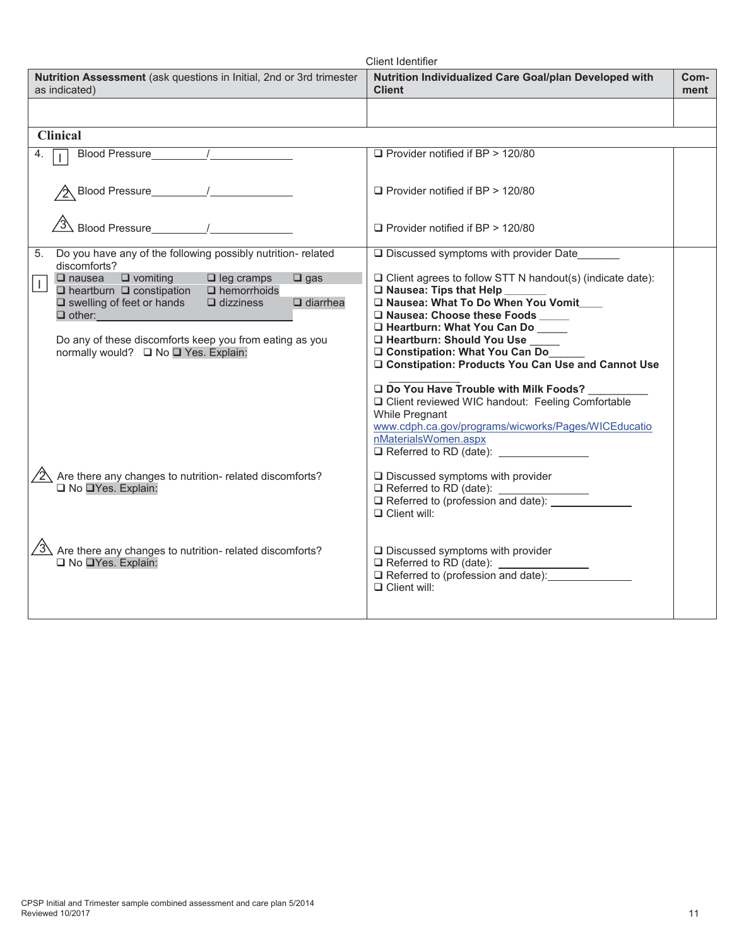|                                                                                                                                                                                                                                                                                                                                                                | <b>Client Identifier</b>                                                                                                                                                                                                                                                                                                                                                                |              |
|----------------------------------------------------------------------------------------------------------------------------------------------------------------------------------------------------------------------------------------------------------------------------------------------------------------------------------------------------------------|-----------------------------------------------------------------------------------------------------------------------------------------------------------------------------------------------------------------------------------------------------------------------------------------------------------------------------------------------------------------------------------------|--------------|
| Nutrition Assessment (ask questions in Initial, 2nd or 3rd trimester<br>as indicated)                                                                                                                                                                                                                                                                          | Nutrition Individualized Care Goal/plan Developed with<br><b>Client</b>                                                                                                                                                                                                                                                                                                                 | Com-<br>ment |
|                                                                                                                                                                                                                                                                                                                                                                |                                                                                                                                                                                                                                                                                                                                                                                         |              |
| <b>Clinical</b>                                                                                                                                                                                                                                                                                                                                                |                                                                                                                                                                                                                                                                                                                                                                                         |              |
| 4.                                                                                                                                                                                                                                                                                                                                                             | □ Provider notified if BP > 120/80                                                                                                                                                                                                                                                                                                                                                      |              |
|                                                                                                                                                                                                                                                                                                                                                                | $\Box$ Provider notified if BP > 120/80                                                                                                                                                                                                                                                                                                                                                 |              |
| $\sqrt{3}$ Blood Pressure 1                                                                                                                                                                                                                                                                                                                                    | $\Box$ Provider notified if BP > 120/80                                                                                                                                                                                                                                                                                                                                                 |              |
| 5. Do you have any of the following possibly nutrition- related<br>discomforts?                                                                                                                                                                                                                                                                                | $\square$ Discussed symptoms with provider Date                                                                                                                                                                                                                                                                                                                                         |              |
| $\Box$ vomiting<br>$\Box$ nausea<br>$\Box$ leg cramps<br>$\Box$ gas<br>$\vert$ 1<br>$\Box$ heartburn $\Box$ constipation<br>$\Box$ hemorrhoids<br>$\square$ swelling of feet or hands<br>$\Box$ dizziness<br>$\Box$ diarrhea<br>$\Box$ other: $\Box$ other:<br>Do any of these discomforts keep you from eating as you<br>normally would? □ No □ Yes. Explain: | $\Box$ Client agrees to follow STT N handout(s) (indicate date):<br>$\square$ Nausea: Tips that Help<br>□ Nausea: What To Do When You Vomit<br>□ Nausea: Choose these Foods ____<br>□ Heartburn: What You Can Do<br>□ Heartburn: Should You Use<br>□ Constipation: What You Can Do<br>□ Constipation: Products You Can Use and Cannot Use<br>Do You Have Trouble with Milk Foods? _____ |              |
|                                                                                                                                                                                                                                                                                                                                                                | O Client reviewed WIC handout: Feeling Comfortable<br>While Pregnant<br>www.cdph.ca.gov/programs/wicworks/Pages/WICEducatio<br>nMaterialsWomen.aspx                                                                                                                                                                                                                                     |              |
| Are there any changes to nutrition- related discomforts?<br>No TYes. Explain:                                                                                                                                                                                                                                                                                  | $\square$ Discussed symptoms with provider<br>□ Referred to RD (date):<br>□ Referred to (profession and date): _________________<br>$\Box$ Client will:                                                                                                                                                                                                                                 |              |
| $\sqrt{3}$ Are there any changes to nutrition- related discomforts?<br>□ No □Yes. Explain:                                                                                                                                                                                                                                                                     | $\Box$ Discussed symptoms with provider<br>$\Box$ Referred to RD (date):<br>$\Box$ Referred to (profession and date):<br>$\Box$ Client will:                                                                                                                                                                                                                                            |              |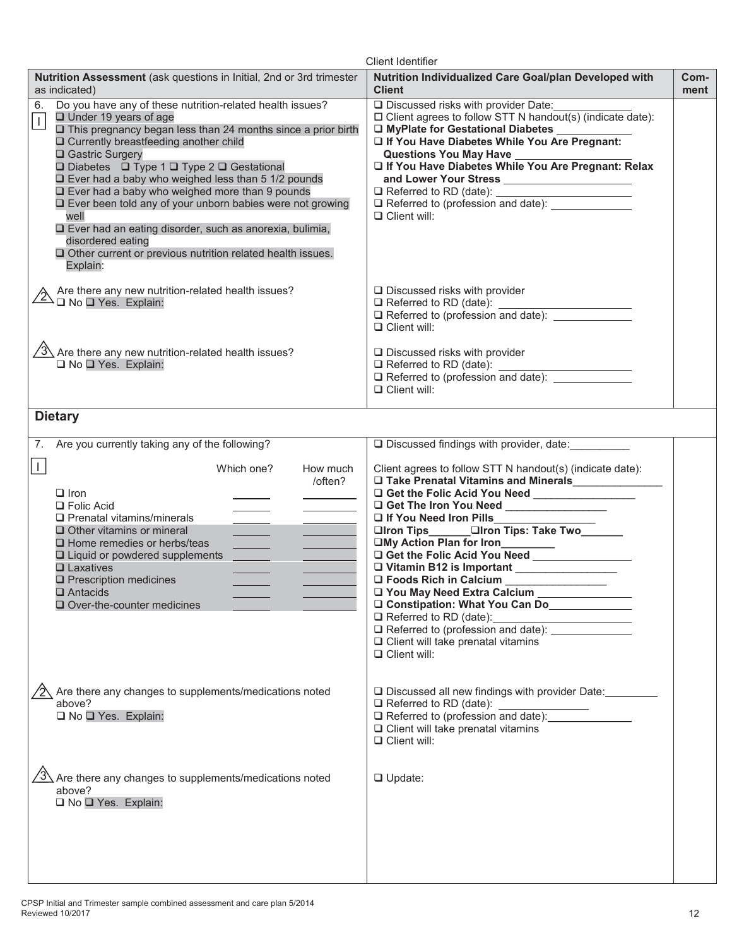|                                                                                                                                                                                                                                                                                                                                                                                                                                                                                                                                                                                                                                                                                    | <b>Client Identifier</b>                                                                                                                                                                                                                                                                                                                                                                                                                                                                                                                                                   |              |
|------------------------------------------------------------------------------------------------------------------------------------------------------------------------------------------------------------------------------------------------------------------------------------------------------------------------------------------------------------------------------------------------------------------------------------------------------------------------------------------------------------------------------------------------------------------------------------------------------------------------------------------------------------------------------------|----------------------------------------------------------------------------------------------------------------------------------------------------------------------------------------------------------------------------------------------------------------------------------------------------------------------------------------------------------------------------------------------------------------------------------------------------------------------------------------------------------------------------------------------------------------------------|--------------|
| Nutrition Assessment (ask questions in Initial, 2nd or 3rd trimester<br>as indicated)                                                                                                                                                                                                                                                                                                                                                                                                                                                                                                                                                                                              | Nutrition Individualized Care Goal/plan Developed with<br><b>Client</b>                                                                                                                                                                                                                                                                                                                                                                                                                                                                                                    | Com-<br>ment |
| Do you have any of these nutrition-related health issues?<br>6.<br>$\Box$ Under 19 years of age<br>$\vert$<br>$\square$ This pregnancy began less than 24 months since a prior birth<br>□ Currently breastfeeding another child<br>□ Gastric Surgery<br>$\Box$ Diabetes $\Box$ Type 1 $\Box$ Type 2 $\Box$ Gestational<br>$\Box$ Ever had a baby who weighed less than 5 1/2 pounds<br>$\square$ Ever had a baby who weighed more than 9 pounds<br>□ Ever been told any of your unborn babies were not growing<br>well<br>□ Ever had an eating disorder, such as anorexia, bulimia,<br>disordered eating<br>Other current or previous nutrition related health issues.<br>Explain: | □ Discussed risks with provider Date:<br>$\Box$ Client agrees to follow STT N handout(s) (indicate date):<br>□ MyPlate for Gestational Diabetes _________<br>If You Have Diabetes While You Are Pregnant:<br>If You Have Diabetes While You Are Pregnant: Relax<br>□ Referred to RD (date):<br>□ Referred to (profession and date): ________________<br>$\Box$ Client will:                                                                                                                                                                                                |              |
| Are there any new nutrition-related health issues?<br>$\overline{2}$ $\overline{1}$ No $\overline{1}$ Yes. Explain:                                                                                                                                                                                                                                                                                                                                                                                                                                                                                                                                                                | $\Box$ Discussed risks with provider<br>Referred to (profession and date): _____________<br>$\Box$ Client will:                                                                                                                                                                                                                                                                                                                                                                                                                                                            |              |
| $\sqrt{3}$ Are there any new nutrition-related health issues?<br>□ No □ Yes. Explain:                                                                                                                                                                                                                                                                                                                                                                                                                                                                                                                                                                                              | $\square$ Discussed risks with provider<br>□ Referred to (profession and date): <u>__________</u><br>$\Box$ Client will:                                                                                                                                                                                                                                                                                                                                                                                                                                                   |              |
| <b>Dietary</b>                                                                                                                                                                                                                                                                                                                                                                                                                                                                                                                                                                                                                                                                     |                                                                                                                                                                                                                                                                                                                                                                                                                                                                                                                                                                            |              |
| Are you currently taking any of the following?<br>7.                                                                                                                                                                                                                                                                                                                                                                                                                                                                                                                                                                                                                               | $\Box$ Discussed findings with provider, date:                                                                                                                                                                                                                                                                                                                                                                                                                                                                                                                             |              |
| l L<br>Which one?<br>How much<br>/often?<br>$\Box$ Iron<br>$\Box$ Folic Acid<br>$\Box$ Prenatal vitamins/minerals<br>$\Box$ Other vitamins or mineral<br>$\Box$ Home remedies or herbs/teas<br>$\Box$ Liquid or powdered supplements<br>$\Box$ Laxatives<br>$\square$ Prescription medicines<br>$\square$ Antacids<br>$\Box$ Over-the-counter medicines                                                                                                                                                                                                                                                                                                                            | Client agrees to follow STT N handout(s) (indicate date):<br>□ Take Prenatal Vitamins and Minerals<br>□ Take Prenatal Vitamins and Minerals<br>□ Get the Folic Acid You Need ________________<br>□ If You Need Iron Pills<br>□Iron Tips □Iron Tips: Take Two<br>□My Action Plan for Iron<br>Get the Folic Acid You Need<br>O Foods Rich in Calcium<br>□ You May Need Extra Calcium<br>O Constipation: What You Can Do<br>$\Box$ Referred to RD (date):<br>Referred to (profession and date): _________<br>$\Box$ Client will take prenatal vitamins<br>$\Box$ Client will: |              |
| Are there any changes to supplements/medications noted<br>above?<br>□ No □ Yes. Explain:                                                                                                                                                                                                                                                                                                                                                                                                                                                                                                                                                                                           | □ Discussed all new findings with provider Date:<br>$\Box$ Referred to RD (date):<br>$\Box$ Client will take prenatal vitamins<br>$\Box$ Client will:                                                                                                                                                                                                                                                                                                                                                                                                                      |              |
| Are there any changes to supplements/medications noted<br>above?<br>□ No □ Yes. Explain:                                                                                                                                                                                                                                                                                                                                                                                                                                                                                                                                                                                           | $\Box$ Update:                                                                                                                                                                                                                                                                                                                                                                                                                                                                                                                                                             |              |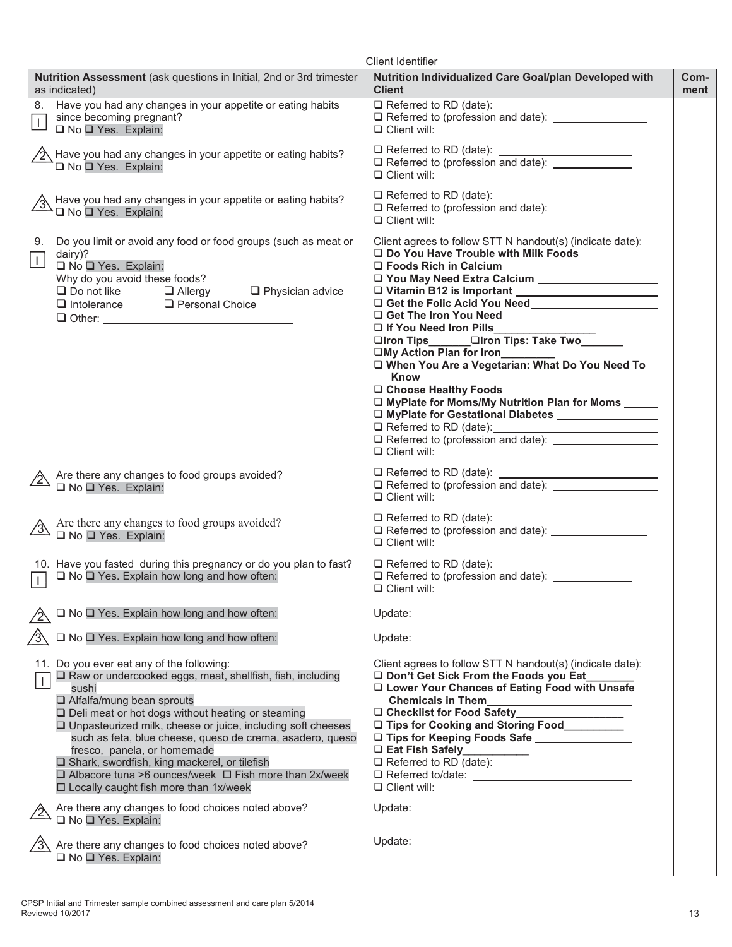|                                                                                                                                                                                                                                                                                                                                                                                                                                                                                                                                                      | <b>Client Identifier</b>                                                                                                                                                                                                                                                                                                                                                                                                             |              |
|------------------------------------------------------------------------------------------------------------------------------------------------------------------------------------------------------------------------------------------------------------------------------------------------------------------------------------------------------------------------------------------------------------------------------------------------------------------------------------------------------------------------------------------------------|--------------------------------------------------------------------------------------------------------------------------------------------------------------------------------------------------------------------------------------------------------------------------------------------------------------------------------------------------------------------------------------------------------------------------------------|--------------|
| Nutrition Assessment (ask questions in Initial, 2nd or 3rd trimester<br>as indicated)                                                                                                                                                                                                                                                                                                                                                                                                                                                                | Nutrition Individualized Care Goal/plan Developed with<br><b>Client</b>                                                                                                                                                                                                                                                                                                                                                              | Com-<br>ment |
| Have you had any changes in your appetite or eating habits<br>8.<br>since becoming pregnant?<br>$\mathbf{I}$<br>□ No □ Yes. Explain:                                                                                                                                                                                                                                                                                                                                                                                                                 | $\Box$ Client will:                                                                                                                                                                                                                                                                                                                                                                                                                  |              |
| $\sqrt{2}$ Have you had any changes in your appetite or eating habits?<br>□ No □ Yes. Explain:                                                                                                                                                                                                                                                                                                                                                                                                                                                       | $\Box$ Client will:                                                                                                                                                                                                                                                                                                                                                                                                                  |              |
| Have you had any changes in your appetite or eating habits?<br>D No D Yes. Explain:                                                                                                                                                                                                                                                                                                                                                                                                                                                                  | $\Box$ Referred to RD (date): _<br>$\Box$ Client will:                                                                                                                                                                                                                                                                                                                                                                               |              |
| Do you limit or avoid any food or food groups (such as meat or<br>9.<br>dairy)?<br>$\perp$<br>□ No □ Yes. Explain:<br>Why do you avoid these foods?<br>$\Box$ Do not like $\Box$ Allergy<br>$\Box$ Physician advice<br><b>Q</b> Personal Choice<br>$\Box$ Intolerance<br>$\Box$ Other:                                                                                                                                                                                                                                                               | Client agrees to follow STT N handout(s) (indicate date):<br>□ Do You Have Trouble with Milk Foods<br>Vou May Need Extra Calcium<br>If You Need Iron Pills<br>□Iron Tips □Iron Tips: Take Two<br>□My Action Plan for Iron<br>□ When You Are a Vegetarian: What Do You Need To<br><b>Know</b><br>□ Choose Healthy Foods<br>□ MyPlate for Moms/My Nutrition Plan for Moms<br>□ MyPlate for Gestational Diabetes<br>$\Box$ Client will: |              |
| $\triangle$ Are there any changes to food groups avoided?<br>No Yes. Explain:                                                                                                                                                                                                                                                                                                                                                                                                                                                                        | $\Box$ Referred to RD (date):<br><u> 1989 - Johann Barn, fransk politik (d. 1989)</u><br>$\Box$ Referred to (profession and date): $\Box$<br>$\Box$ Client will:                                                                                                                                                                                                                                                                     |              |
| Are there any changes to food groups avoided?<br>$\Box$ No $\Box$ Yes. Explain:                                                                                                                                                                                                                                                                                                                                                                                                                                                                      | $\Box$ Referred to RD (date): $\Box$<br>□ Referred to RD (date):<br>□ Referred to (profession and date): ________________<br>$\Box$ Client will:                                                                                                                                                                                                                                                                                     |              |
| 10. Have you fasted during this pregnancy or do you plan to fast?<br>$\Box$ No $\Box$ Yes. Explain how long and how often:<br>$\Box$                                                                                                                                                                                                                                                                                                                                                                                                                 | □ Referred to RD (date): ________________<br>□ Referred to (profession and date): <u>___________</u><br>$\Box$ Client will:                                                                                                                                                                                                                                                                                                          |              |
| □ No □ Yes. Explain how long and how often:                                                                                                                                                                                                                                                                                                                                                                                                                                                                                                          | Update:                                                                                                                                                                                                                                                                                                                                                                                                                              |              |
| ⁄3∖<br>$\Box$ No $\Box$ Yes. Explain how long and how often:                                                                                                                                                                                                                                                                                                                                                                                                                                                                                         | Update:                                                                                                                                                                                                                                                                                                                                                                                                                              |              |
| 11. Do you ever eat any of the following:<br>□ Raw or undercooked eggs, meat, shellfish, fish, including<br>$\perp$<br>sushi<br>□ Alfalfa/mung bean sprouts<br>$\square$ Deli meat or hot dogs without heating or steaming<br>□ Unpasteurized milk, cheese or juice, including soft cheeses<br>such as feta, blue cheese, queso de crema, asadero, queso<br>fresco, panela, or homemade<br>□ Shark, swordfish, king mackerel, or tilefish<br>□ Albacore tuna >6 ounces/week □ Fish more than 2x/week<br>$\Box$ Locally caught fish more than 1x/week | Client agrees to follow STT N handout(s) (indicate date):<br>Don't Get Sick From the Foods you Eat<br>□ Lower Your Chances of Eating Food with Unsafe<br><b>Chemicals in Them</b><br>□ Checklist for Food Safety<br>□ Tips for Cooking and Storing Food________<br>□ Tips for Keeping Foods Safe _____________<br>□ Eat Fish Safely<br>$\Box$ Client will:                                                                           |              |
| Are there any changes to food choices noted above?<br>□ No □ Yes. Explain:                                                                                                                                                                                                                                                                                                                                                                                                                                                                           | Update:                                                                                                                                                                                                                                                                                                                                                                                                                              |              |
| Are there any changes to food choices noted above?<br>□ No □ Yes. Explain:                                                                                                                                                                                                                                                                                                                                                                                                                                                                           | Update:                                                                                                                                                                                                                                                                                                                                                                                                                              |              |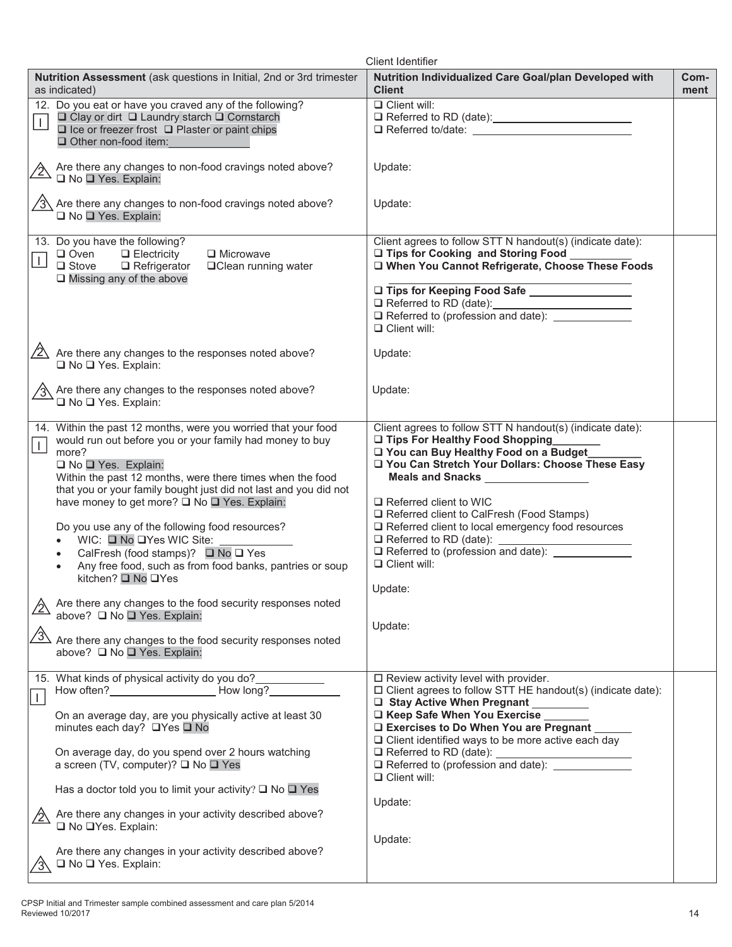| <b>Client Identifier</b>                                                                                                                                                                                                                                                                                                                                                                                                                                                                                                                                                                                                                                                                                      |                                                                                                                                                                                                                                                                                                                                                                                                                             |              |  |
|---------------------------------------------------------------------------------------------------------------------------------------------------------------------------------------------------------------------------------------------------------------------------------------------------------------------------------------------------------------------------------------------------------------------------------------------------------------------------------------------------------------------------------------------------------------------------------------------------------------------------------------------------------------------------------------------------------------|-----------------------------------------------------------------------------------------------------------------------------------------------------------------------------------------------------------------------------------------------------------------------------------------------------------------------------------------------------------------------------------------------------------------------------|--------------|--|
| Nutrition Assessment (ask questions in Initial, 2nd or 3rd trimester<br>as indicated)                                                                                                                                                                                                                                                                                                                                                                                                                                                                                                                                                                                                                         | Nutrition Individualized Care Goal/plan Developed with<br><b>Client</b>                                                                                                                                                                                                                                                                                                                                                     | Com-<br>ment |  |
| 12. Do you eat or have you craved any of the following?<br>□ Clay or dirt □ Laundry starch □ Cornstarch<br>$\perp$<br>$\Box$ Ice or freezer frost $\Box$ Plaster or paint chips<br>Other non-food item:                                                                                                                                                                                                                                                                                                                                                                                                                                                                                                       | $\overline{\square}$ Client will:<br>□ Referred to/date: <u>_________________________________</u>                                                                                                                                                                                                                                                                                                                           |              |  |
| Are there any changes to non-food cravings noted above?<br><u>/2\</u><br>□ No □ Yes. Explain:                                                                                                                                                                                                                                                                                                                                                                                                                                                                                                                                                                                                                 | Update:                                                                                                                                                                                                                                                                                                                                                                                                                     |              |  |
| $\sqrt{3}$ Are there any changes to non-food cravings noted above?<br>□ No □ Yes. Explain:                                                                                                                                                                                                                                                                                                                                                                                                                                                                                                                                                                                                                    | Update:                                                                                                                                                                                                                                                                                                                                                                                                                     |              |  |
| 13. Do you have the following?<br>$\Box$ Oven<br>$\Box$ Electricity<br>□ Microwave<br>$\perp$<br>$\Box$ Stove<br>$\Box$ Refrigerator<br>□ Clean running water<br>$\Box$ Missing any of the above                                                                                                                                                                                                                                                                                                                                                                                                                                                                                                              | Client agrees to follow STT N handout(s) (indicate date):<br>□ Tips for Cooking and Storing Food<br>□ When You Cannot Refrigerate, Choose These Foods<br>Tips for Keeping Food Safe<br>Referred to RD (date):<br>$\Box$ Referred to (profession and date):<br>$\Box$ Client will:                                                                                                                                           |              |  |
| $\sqrt{2}$ Are there any changes to the responses noted above?<br>□ No □ Yes. Explain:                                                                                                                                                                                                                                                                                                                                                                                                                                                                                                                                                                                                                        | Update:                                                                                                                                                                                                                                                                                                                                                                                                                     |              |  |
| Are there any changes to the responses noted above?<br>□ No □ Yes. Explain:                                                                                                                                                                                                                                                                                                                                                                                                                                                                                                                                                                                                                                   | Update:                                                                                                                                                                                                                                                                                                                                                                                                                     |              |  |
| 14. Within the past 12 months, were you worried that your food<br>would run out before you or your family had money to buy<br>$\perp$<br>more?<br>□ No □ Yes. Explain:<br>Within the past 12 months, were there times when the food<br>that you or your family bought just did not last and you did not<br>have money to get more? □ No □ Yes. Explain:<br>Do you use any of the following food resources?<br>WIC: □ No □ Yes WIC Site:<br>$\bullet$<br>CalFresh (food stamps)? $\Box$ No $\Box$ Yes<br>$\bullet$<br>Any free food, such as from food banks, pantries or soup<br>$\bullet$<br>kitchen? □ No □Yes<br>Are there any changes to the food security responses noted<br>above? □ No □ Yes. Explain: | Client agrees to follow STT N handout(s) (indicate date):<br>□ Tips For Healthy Food Shopping<br>□ You can Buy Healthy Food on a Budget<br>□ You Can Stretch Your Dollars: Choose These Easy<br>$\Box$ Referred client to WIC<br>Referred client to CalFresh (Food Stamps)<br>□ Referred client to local emergency food resources<br>$\Box$ Referred to (profession and date):<br>$\Box$ Client will:<br>Update:<br>Update: |              |  |
| $\frac{1}{3}$<br>Are there any changes to the food security responses noted<br>above? ■ No ■ Yes. Explain:                                                                                                                                                                                                                                                                                                                                                                                                                                                                                                                                                                                                    |                                                                                                                                                                                                                                                                                                                                                                                                                             |              |  |
| 15. What kinds of physical activity do you do?<br>$\overline{1}$<br>On an average day, are you physically active at least 30<br>minutes each day? □Yes □ No<br>On average day, do you spend over 2 hours watching<br>a screen (TV, computer)? □ No □ Yes<br>Has a doctor told you to limit your activity? $\square$ No $\square$ Yes                                                                                                                                                                                                                                                                                                                                                                          | $\square$ Review activity level with provider.<br>$\Box$ Client agrees to follow STT HE handout(s) (indicate date):<br>□ Stay Active When Pregnant ________<br>□ Keep Safe When You Exercise _____<br>□ Exercises to Do When You are Pregnant _<br>$\Box$ Client identified ways to be more active each day<br>$\Box$ Client will:                                                                                          |              |  |
| Are there any changes in your activity described above?<br>□ No □Yes. Explain:<br>Are there any changes in your activity described above?<br>□ No □ Yes. Explain:                                                                                                                                                                                                                                                                                                                                                                                                                                                                                                                                             | Update:<br>Update:                                                                                                                                                                                                                                                                                                                                                                                                          |              |  |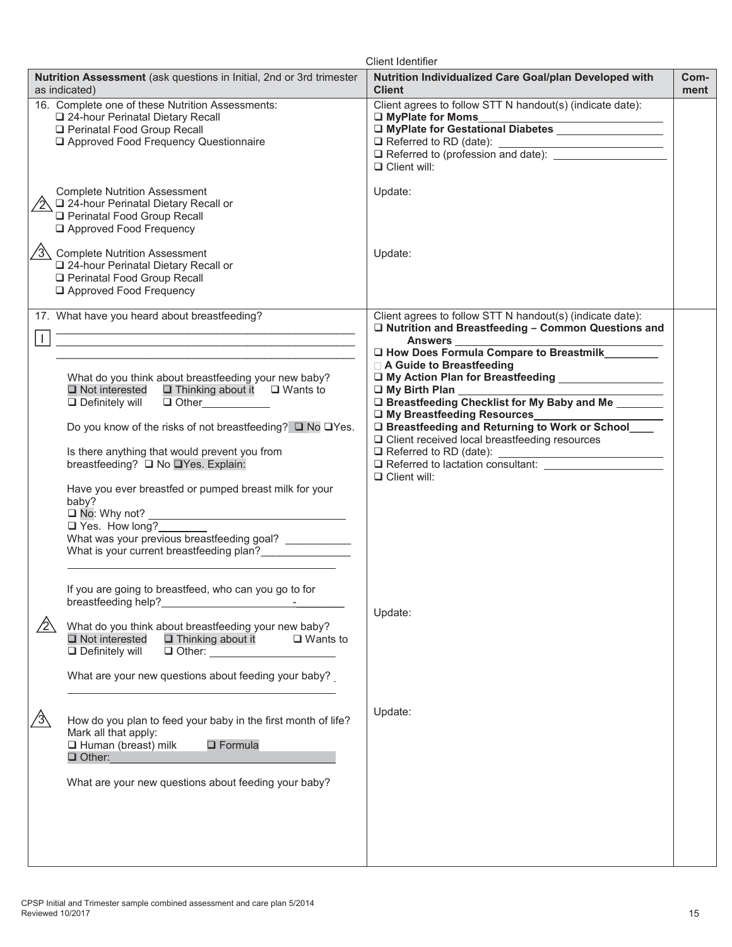| <b>Client Identifier</b>                                                                                                                                                    |                                                                                                                                                                |              |  |  |
|-----------------------------------------------------------------------------------------------------------------------------------------------------------------------------|----------------------------------------------------------------------------------------------------------------------------------------------------------------|--------------|--|--|
| Nutrition Assessment (ask questions in Initial, 2nd or 3rd trimester<br>as indicated)                                                                                       | Nutrition Individualized Care Goal/plan Developed with<br><b>Client</b>                                                                                        | Com-<br>ment |  |  |
| 16. Complete one of these Nutrition Assessments:<br>24-hour Perinatal Dietary Recall<br>Perinatal Food Group Recall<br>Approved Food Frequency Questionnaire                | Client agrees to follow STT N handout(s) (indicate date):<br>□ MyPlate for Moms<br>O MyPlate for Gestational Diabetes _________________<br>$\Box$ Client will: |              |  |  |
| <b>Complete Nutrition Assessment</b><br>$\sqrt{2}$ $\Box$ 24-hour Perinatal Dietary Recall or<br>Perinatal Food Group Recall<br>Approved Food Frequency                     | Update:                                                                                                                                                        |              |  |  |
| √3 Complete Nutrition Assessment<br>24-hour Perinatal Dietary Recall or<br>Perinatal Food Group Recall<br>Approved Food Frequency                                           | Update:                                                                                                                                                        |              |  |  |
| 17. What have you heard about breastfeeding?                                                                                                                                | Client agrees to follow STT N handout(s) (indicate date):<br>□ Nutrition and Breastfeeding - Common Questions and                                              |              |  |  |
|                                                                                                                                                                             | Answers<br>□ How Does Formula Compare to Breastmilk________<br>□ A Guide to Breastfeeding                                                                      |              |  |  |
| What do you think about breastfeeding your new baby?<br>$\Box$ Not interested $\Box$ Thinking about it $\Box$ Wants to<br>$\Box$ Other<br>$\Box$ Definitely will            | □ My Action Plan for Breastfeeding _______________<br>□ My Birth Plan<br>D Breastfeeding Checklist for My Baby and Me                                          |              |  |  |
| Do you know of the risks of not breastfeeding? □ No □Yes.<br>Is there anything that would prevent you from                                                                  | U My Breastfeeding Resources<br>D Breastfeeding and Returning to Work or School<br>$\Box$ Client received local breastfeeding resources                        |              |  |  |
| breastfeeding? ■ No ■ Yes. Explain:<br>Have you ever breastfed or pumped breast milk for your                                                                               | $\Box$ Client will:                                                                                                                                            |              |  |  |
| baby?<br>$\Box$ Yes. How long?                                                                                                                                              |                                                                                                                                                                |              |  |  |
| What was your previous breastfeeding goal?<br>What is your current breastfeeding plan?                                                                                      |                                                                                                                                                                |              |  |  |
| If you are going to breastfeed, who can you go to for<br>breastfeeding help?                                                                                                | Update:                                                                                                                                                        |              |  |  |
| What do you think about breastfeeding your new baby?<br>$\Box$ Not interested<br>$\Box$ Thinking about it<br>$\Box$ Wants to<br>$\Box$ Definitely will<br>$\Box$ Other:     |                                                                                                                                                                |              |  |  |
| What are your new questions about feeding your baby?                                                                                                                        |                                                                                                                                                                |              |  |  |
| How do you plan to feed your baby in the first month of life?<br>′3`<br>Mark all that apply:<br>$\Box$ Formula<br>$\Box$ Human (breast) milk<br>$\Box$ Other: $\Box$ Other: | Update:                                                                                                                                                        |              |  |  |
| What are your new questions about feeding your baby?                                                                                                                        |                                                                                                                                                                |              |  |  |
|                                                                                                                                                                             |                                                                                                                                                                |              |  |  |